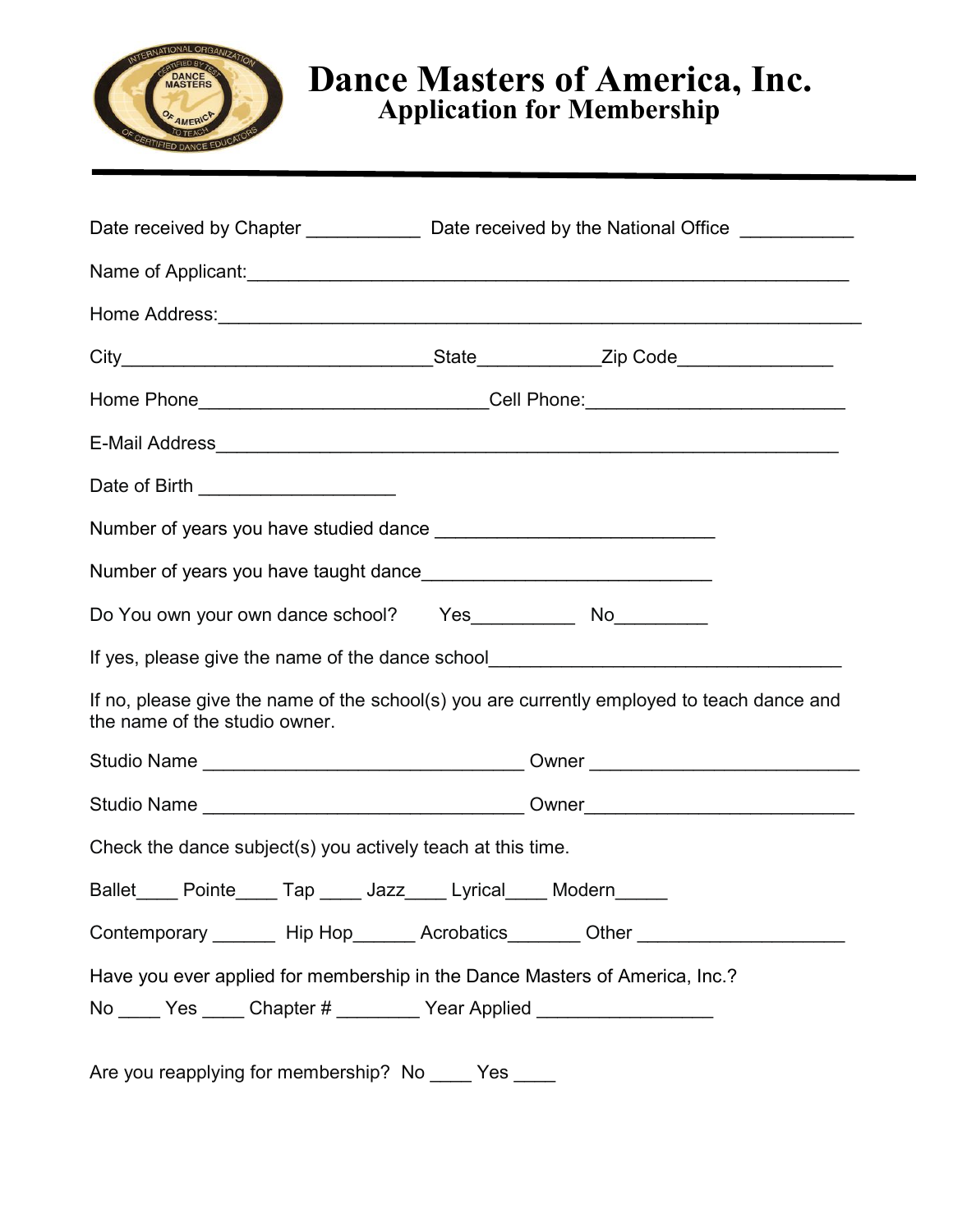

## *Application for Membership* **Dance Masters of America, Inc.**

|                                                                                                                             |                                                                                  | Date received by Chapter ____________________ Date received by the National Office ________________ |  |  |  |  |
|-----------------------------------------------------------------------------------------------------------------------------|----------------------------------------------------------------------------------|-----------------------------------------------------------------------------------------------------|--|--|--|--|
|                                                                                                                             |                                                                                  |                                                                                                     |  |  |  |  |
|                                                                                                                             |                                                                                  |                                                                                                     |  |  |  |  |
|                                                                                                                             |                                                                                  |                                                                                                     |  |  |  |  |
|                                                                                                                             | Home Phone_______________________________Cell Phone:____________________________ |                                                                                                     |  |  |  |  |
|                                                                                                                             |                                                                                  |                                                                                                     |  |  |  |  |
| Date of Birth _______________________                                                                                       |                                                                                  |                                                                                                     |  |  |  |  |
|                                                                                                                             |                                                                                  |                                                                                                     |  |  |  |  |
|                                                                                                                             |                                                                                  |                                                                                                     |  |  |  |  |
| Do You own your own dance school? Yes ______________ No___________                                                          |                                                                                  |                                                                                                     |  |  |  |  |
| If yes, please give the name of the dance school_________________________________                                           |                                                                                  |                                                                                                     |  |  |  |  |
| If no, please give the name of the school(s) you are currently employed to teach dance and<br>the name of the studio owner. |                                                                                  |                                                                                                     |  |  |  |  |
|                                                                                                                             |                                                                                  |                                                                                                     |  |  |  |  |
|                                                                                                                             |                                                                                  |                                                                                                     |  |  |  |  |
| Check the dance subject(s) you actively teach at this time.                                                                 |                                                                                  |                                                                                                     |  |  |  |  |
| Tap Jazz<br>Ballet<br>Pointe                                                                                                | Lyrical                                                                          | Modern                                                                                              |  |  |  |  |
| Contemporary ________ Hip Hop_______ Acrobatics________ Other __________________                                            |                                                                                  |                                                                                                     |  |  |  |  |
| Have you ever applied for membership in the Dance Masters of America, Inc.?                                                 |                                                                                  |                                                                                                     |  |  |  |  |
|                                                                                                                             | No _____ Yes _____ Chapter # _________ Year Applied __________________           |                                                                                                     |  |  |  |  |

Are you reapplying for membership? No \_\_\_\_ Yes \_\_\_\_